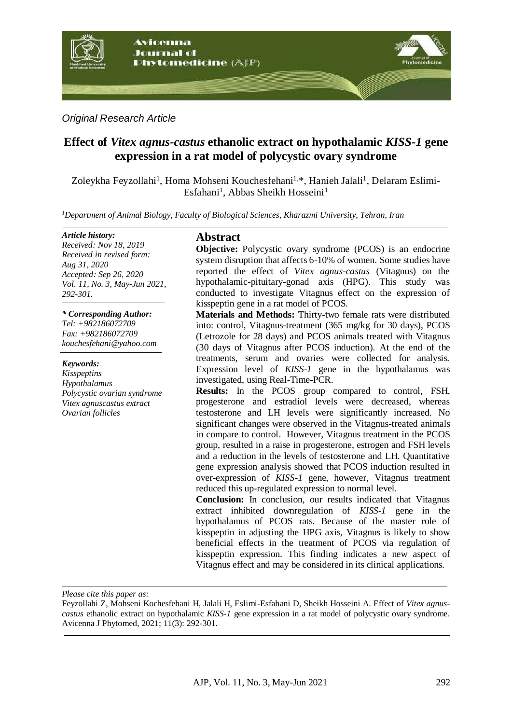

*Original Research Article*

# **Effect of** *Vitex agnus-castus* **ethanolic extract on hypothalamic** *KISS-1* **gene expression in a rat model of polycystic ovary syndrome**

Zoleykha Feyzollahi<sup>1</sup>, Homa Mohseni Kouchesfehani<sup>1,</sup>\*, Hanieh Jalali<sup>1</sup>, Delaram Eslimi-Esfahani<sup>1</sup>, Abbas Sheikh Hosseini<sup>1</sup>

*<sup>1</sup>Department of Animal Biology, Faculty of Biological Sciences, Kharazmi University, Tehran, Iran*

#### *Article history:*

*Received: Nov 18, 2019 Received in revised form: Aug 31, 2020 Accepted: Sep 26, 2020 Vol. 11, No. 3, May-Jun 2021, 292-301.*

*\* Corresponding Author: Tel: +982186072709 Fax: +982186072709 kouchesfehani@yahoo.com* 

*Keywords: Kisspeptins Hypothalamus Polycystic ovarian syndrome Vitex agnuscastus extract Ovarian follicles* 

# **Abstract**

**Objective:** Polycystic ovary syndrome (PCOS) is an endocrine system disruption that affects 6-10% of women. Some studies have reported the effect of *Vitex agnus-castus* (Vitagnus) on the hypothalamic-pituitary-gonad axis (HPG). This study was conducted to investigate Vitagnus effect on the expression of kisspeptin gene in a rat model of PCOS.

**Materials and Methods:** Thirty-two female rats were distributed into: control, Vitagnus-treatment (365 mg/kg for 30 days), PCOS (Letrozole for 28 days) and PCOS animals treated with Vitagnus (30 days of Vitagnus after PCOS induction). At the end of the treatments, serum and ovaries were collected for analysis. Expression level of *KISS-1* gene in the hypothalamus was investigated, using Real-Time-PCR.

**Results:** In the PCOS group compared to control, FSH, progesterone and estradiol levels were decreased, whereas testosterone and LH levels were significantly increased. No significant changes were observed in the Vitagnus-treated animals in compare to control. However, Vitagnus treatment in the PCOS group, resulted in a raise in progesterone, estrogen and FSH levels and a reduction in the levels of testosterone and LH. Quantitative gene expression analysis showed that PCOS induction resulted in over-expression of *KISS-1* gene, however, Vitagnus treatment reduced this up-regulated expression to normal level.

**Conclusion:** In conclusion, our results indicated that Vitagnus extract inhibited downregulation of *KISS-1* gene in the hypothalamus of PCOS rats. Because of the master role of kisspeptin in adjusting the HPG axis, Vitagnus is likely to show beneficial effects in the treatment of PCOS via regulation of kisspeptin expression. This finding indicates a new aspect of Vitagnus effect and may be considered in its clinical applications.

*Please cite this paper as:* 

Feyzollahi Z, Mohseni Kochesfehani H, Jalali H, Eslimi-Esfahani D, Sheikh Hosseini A. Effect of *Vitex agnuscastus* ethanolic extract on hypothalamic *KISS-1* gene expression in a rat model of polycystic ovary syndrome. Avicenna J Phytomed, 2021; 11(3): 292-301.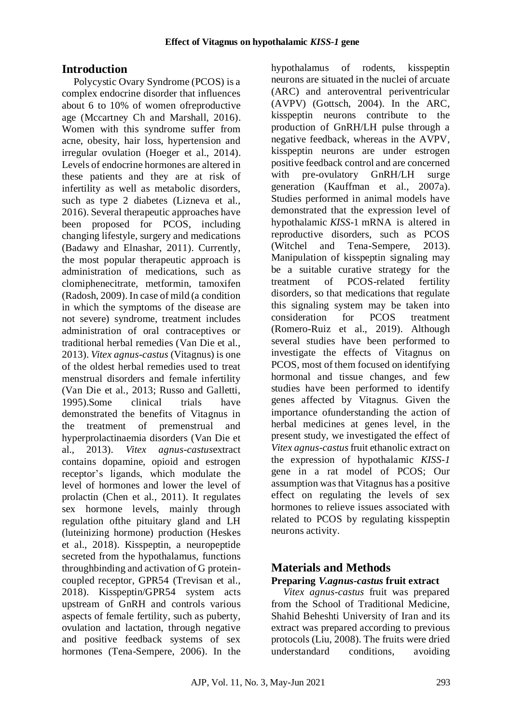# **Introduction**

Polycystic Ovary Syndrome (PCOS) is a complex endocrine disorder that influences about 6 to 10% of women ofreproductive age (Mccartney Ch and Marshall, 2016). Women with this syndrome suffer from acne, obesity, hair loss, hypertension and irregular ovulation (Hoeger et al., 2014). Levels of endocrine hormones are altered in these patients and they are at risk of infertility as well as metabolic disorders, such as type 2 diabetes (Lizneva et al., 2016). Several therapeutic approaches have been proposed for PCOS, including changing lifestyle, surgery and medications (Badawy and Elnashar, 2011). Currently, the most popular therapeutic approach is administration of medications, such as clomiphenecitrate, metformin, tamoxifen (Radosh, 2009). In case of mild (a condition in which the symptoms of the disease are not severe) syndrome, treatment includes administration of oral contraceptives or traditional herbal remedies (Van Die et al., 2013). *Vitex agnus-castus* (Vitagnus) is one of the oldest herbal remedies used to treat menstrual disorders and female infertility (Van Die et al., 2013; Russo and Galletti, 1995).Some clinical trials have demonstrated the benefits of Vitagnus in the treatment of premenstrual and hyperprolactinaemia disorders (Van Die et al., 2013). *Vitex agnus-castus*extract contains dopamine, opioid and estrogen receptor's ligands, which modulate the level of hormones and lower the level of prolactin (Chen et al., 2011). It regulates sex hormone levels, mainly through regulation ofthe pituitary gland and LH (luteinizing hormone) production (Heskes et al., 2018). Kisspeptin, a neuropeptide secreted from the hypothalamus, functions throughbinding and activation of G proteincoupled receptor, GPR54 (Trevisan et al., 2018). Kisspeptin/GPR54 system acts upstream of GnRH and controls various aspects of female fertility, such as puberty, ovulation and lactation, through negative and positive feedback systems of sex hormones (Tena-Sempere, 2006). In the

hypothalamus of rodents, kisspeptin neurons are situated in the nuclei of arcuate (ARC) and anteroventral periventricular (AVPV) (Gottsch, 2004). In the ARC, kisspeptin neurons contribute to the production of GnRH/LH pulse through a negative feedback, whereas in the AVPV, kisspeptin neurons are under estrogen positive feedback control and are concerned with pre-ovulatory GnRH/LH surge generation (Kauffman et al., 2007a). Studies performed in animal models have demonstrated that the expression level of hypothalamic *KISS*-1 mRNA is altered in reproductive disorders, such as PCOS (Witchel and Tena-Sempere, 2013). Manipulation of kisspeptin signaling may be a suitable curative strategy for the treatment of PCOS-related fertility disorders, so that medications that regulate this signaling system may be taken into consideration for PCOS treatment (Romero-Ruiz et al., 2019). Although several studies have been performed to investigate the effects of Vitagnus on PCOS, most of them focused on identifying hormonal and tissue changes, and few studies have been performed to identify genes affected by Vitagnus. Given the importance ofunderstanding the action of herbal medicines at genes level, in the present study, we investigated the effect of *Vitex agnus-castus*fruit ethanolic extract on the expression of hypothalamic *KISS-1* gene in a rat model of PCOS; Our assumption was that Vitagnus has a positive effect on regulating the levels of sex hormones to relieve issues associated with related to PCOS by regulating kisspeptin neurons activity.

# **Materials and Methods Preparing** *V.agnus-castus* **fruit extract**

*Vitex agnus-castus* fruit was prepared from the School of Traditional Medicine, Shahid Beheshti University of Iran and its extract was prepared according to previous protocols (Liu, 2008). The fruits were dried understandard conditions, avoiding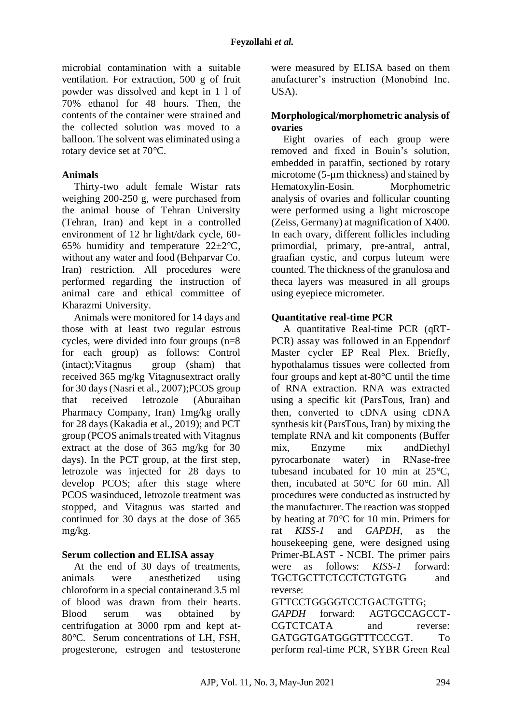microbial contamination with a suitable ventilation. For extraction, 500 g of fruit powder was dissolved and kept in 1 l of 70% ethanol for 48 hours. Then, the contents of the container were strained and the collected solution was moved to a balloon. The solvent was eliminated using a rotary device set at 70°C.

# **Animals**

Thirty-two adult female Wistar rats weighing 200-250 g, were purchased from the animal house of Tehran University (Tehran, Iran) and kept in a controlled environment of 12 hr light/dark cycle, 60- 65% humidity and temperature  $22 \pm 2^{\circ}C$ , without any water and food (Behparvar Co. Iran) restriction. All procedures were performed regarding the instruction of animal care and ethical committee of Kharazmi University.

Animals were monitored for 14 days and those with at least two regular estrous cycles, were divided into four groups (n=8 for each group) as follows: Control (intact);Vitagnus group (sham) that received 365 mg/kg Vitagnusextract orally for 30 days (Nasri et al., 2007);PCOS group that received letrozole (Aburaihan Pharmacy Company, Iran) 1mg/kg orally for 28 days (Kakadia et al., 2019); and PCT group (PCOS animals treated with Vitagnus extract at the dose of 365 mg/kg for 30 days). In the PCT group, at the first step, letrozole was injected for 28 days to develop PCOS; after this stage where PCOS wasinduced, letrozole treatment was stopped, and Vitagnus was started and continued for 30 days at the dose of 365 mg/kg.

### **Serum collection and ELISA assay**

At the end of 30 days of treatments, animals were anesthetized using chloroform in a special containerand 3.5 ml of blood was drawn from their hearts. Blood serum was obtained by centrifugation at 3000 rpm and kept at-80°C. Serum concentrations of LH, FSH, progesterone, estrogen and testosterone

were measured by ELISA based on them anufacturer's instruction (Monobind Inc. USA).

## **Morphological/morphometric analysis of ovaries**

Eight ovaries of each group were removed and fixed in Bouin's solution, embedded in paraffin, sectioned by rotary microtome (5-µm thickness) and stained by Hematoxylin-Eosin. Morphometric analysis of ovaries and follicular counting were performed using a light microscope (Zeiss, Germany) at magnification of X400. In each ovary, different follicles including primordial, primary, pre-antral, antral, graafian cystic, and corpus luteum were counted. The thickness of the granulosa and theca layers was measured in all groups using eyepiece micrometer.

### **Quantitative real-time PCR**

A quantitative Real-time PCR (qRT-PCR) assay was followed in an Eppendorf Master cycler EP Real Plex. Briefly, hypothalamus tissues were collected from four groups and kept at-80°C until the time of RNA extraction. RNA was extracted using a specific kit (ParsTous, Iran) and then, converted to cDNA using cDNA synthesis kit (ParsTous, Iran) by mixing the template RNA and kit components (Buffer mix, Enzyme mix andDiethyl pyrocarbonate water) in RNase-free tubesand incubated for 10 min at 25°C, then, incubated at 50°C for 60 min. All procedures were conducted as instructed by the manufacturer. The reaction was stopped by heating at 70°C for 10 min. Primers for rat *KISS-1* and *GAPDH*, as the housekeeping gene, were designed using Primer-BLAST - NCBI. The primer pairs were as follows: *KISS-1* forward: TGCTGCTTCTCCTCTGTGTG and reverse:

# GTTCCTGGGGTCCTGACTGTTG;

*GAPDH* forward: AGTGCCAGCCT-CGTCTCATA and reverse: GATGGTGATGGGTTTCCCGT. To perform real-time PCR, SYBR Green Real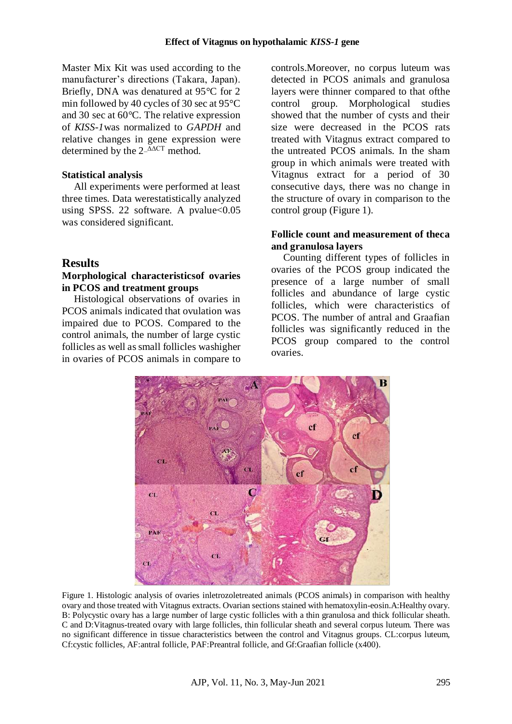Master Mix Kit was used according to the manufacturer's directions (Takara, Japan). Briefly, DNA was denatured at 95°C for 2 min followed by 40 cycles of 30 sec at 95°C and 30 sec at 60°C. The relative expression of *KISS-1*was normalized to *GAPDH* and relative changes in gene expression were determined by the  $2-\Delta\Delta CT$  method.

### **Statistical analysis**

All experiments were performed at least three times. Data werestatistically analyzed using SPSS. 22 software. A pvalue $<0.05$ was considered significant.

### **Results**

#### **Morphological characteristicsof ovaries in PCOS and treatment groups**

Histological observations of ovaries in PCOS animals indicated that ovulation was impaired due to PCOS. Compared to the control animals, the number of large cystic follicles as well as small follicles washigher in ovaries of PCOS animals in compare to controls.Moreover, no corpus luteum was detected in PCOS animals and granulosa layers were thinner compared to that ofthe control group. Morphological studies showed that the number of cysts and their size were decreased in the PCOS rats treated with Vitagnus extract compared to the untreated PCOS animals. In the sham group in which animals were treated with Vitagnus extract for a period of 30 consecutive days, there was no change in the structure of ovary in comparison to the control group (Figure 1).

### **Follicle count and measurement of theca and granulosa layers**

Counting different types of follicles in ovaries of the PCOS group indicated the presence of a large number of small follicles and abundance of large cystic follicles, which were characteristics of PCOS. The number of antral and Graafian follicles was significantly reduced in the PCOS group compared to the control ovaries.



Figure 1. Histologic analysis of ovaries inletrozoletreated animals (PCOS animals) in comparison with healthy ovary and those treated with Vitagnus extracts. Ovarian sections stained with hematoxylin-eosin.A:Healthy ovary. B: Polycystic ovary has a large number of large cystic follicles with a thin granulosa and thick follicular sheath. C and D:Vitagnus-treated ovary with large follicles, thin follicular sheath and several corpus luteum. There was no significant difference in tissue characteristics between the control and Vitagnus groups. CL:corpus luteum, Cf:cystic follicles, AF:antral follicle, PAF:Preantral follicle, and Gf:Graafian follicle (x400).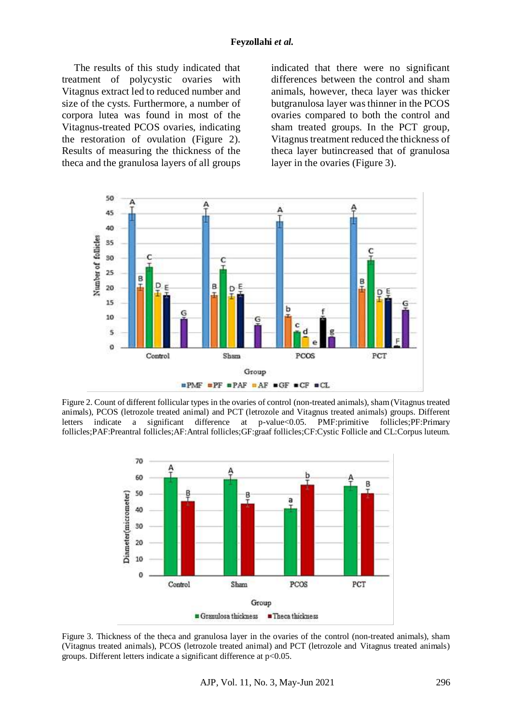The results of this study indicated that treatment of polycystic ovaries with Vitagnus extract led to reduced number and size of the cysts. Furthermore, a number of corpora lutea was found in most of the Vitagnus-treated PCOS ovaries, indicating the restoration of ovulation (Figure 2). Results of measuring the thickness of the theca and the granulosa layers of all groups

indicated that there were no significant differences between the control and sham animals, however, theca layer was thicker butgranulosa layer was thinner in the PCOS ovaries compared to both the control and sham treated groups. In the PCT group, Vitagnus treatment reduced the thickness of theca layer butincreased that of granulosa layer in the ovaries (Figure 3).



Figure 2. Count of different follicular types in the ovaries of control (non-treated animals), sham (Vitagnus treated animals), PCOS (letrozole treated animal) and PCT (letrozole and Vitagnus treated animals) groups. Different letters indicate a significant difference at p-value<0.05. PMF:primitive follicles;PF:Primary follicles;PAF:Preantral follicles;AF:Antral follicles;GF:graaf follicles;CF:Cystic Follicle and CL:Corpus luteum.



Figure 3. Thickness of the theca and granulosa layer in the ovaries of the control (non-treated animals), sham (Vitagnus treated animals), PCOS (letrozole treated animal) and PCT (letrozole and Vitagnus treated animals) groups. Different letters indicate a significant difference at p<0.05.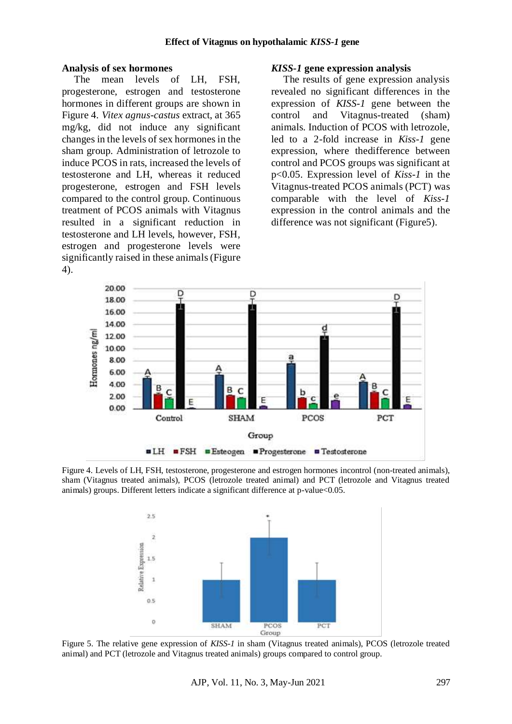#### **Analysis of sex hormones**

The mean levels of LH, FSH, progesterone, estrogen and testosterone hormones in different groups are shown in Figure 4. *Vitex agnus-castus* extract, at 365 mg/kg, did not induce any significant changes in the levels of sex hormones in the sham group. Administration of letrozole to induce PCOS in rats, increased the levels of testosterone and LH, whereas it reduced progesterone, estrogen and FSH levels compared to the control group. Continuous treatment of PCOS animals with Vitagnus resulted in a significant reduction in testosterone and LH levels, however, FSH, estrogen and progesterone levels were significantly raised in these animals (Figure 4).

#### *KISS-1* **gene expression analysis**

The results of gene expression analysis revealed no significant differences in the expression of *KISS-1* gene between the control and Vitagnus-treated (sham) animals. Induction of PCOS with letrozole, led to a 2-fold increase in *Kiss-1* gene expression, where thedifference between control and PCOS groups was significant at p<0.05. Expression level of *Kiss-1* in the Vitagnus-treated PCOS animals (PCT) was comparable with the level of *Kiss-1* expression in the control animals and the difference was not significant (Figure5).



Figure 4. Levels of LH, FSH, testosterone, progesterone and estrogen hormones incontrol (non-treated animals), sham (Vitagnus treated animals), PCOS (letrozole treated animal) and PCT (letrozole and Vitagnus treated animals) groups. Different letters indicate a significant difference at p-value<0.05.



Figure 5. The relative gene expression of *KISS-1* in sham (Vitagnus treated animals), PCOS (letrozole treated animal) and PCT (letrozole and Vitagnus treated animals) groups compared to control group.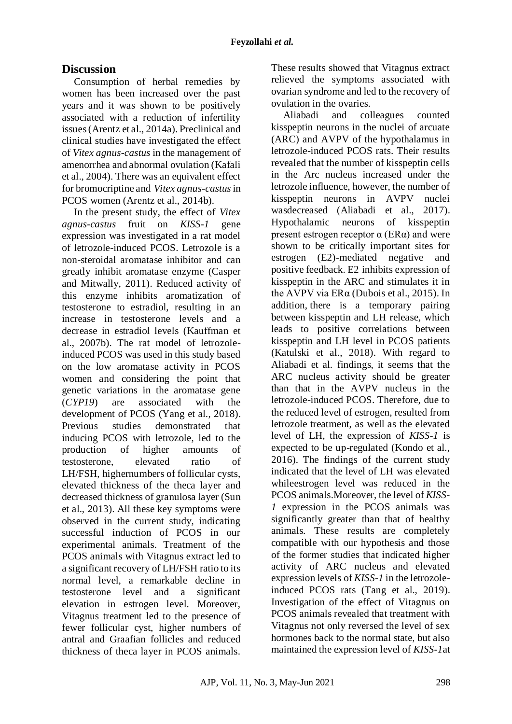# **Discussion**

Consumption of herbal remedies by women has been increased over the past years and it was shown to be positively associated with a reduction of infertility issues (Arentz et al., 2014a). Preclinical and clinical studies have investigated the effect of *Vitex agnus-castus* in the management of amenorrhea and abnormal ovulation (Kafali et al., 2004). There was an equivalent effect for bromocriptine and *Vitex agnus-castus*in PCOS women (Arentz et al., 2014b).

In the present study, the effect of *Vitex agnus-castus* fruit on *KISS-1* gene expression was investigated in a rat model of letrozole-induced PCOS. Letrozole is a non-steroidal aromatase inhibitor and can greatly inhibit aromatase enzyme (Casper and Mitwally, 2011). Reduced activity of this enzyme inhibits aromatization of testosterone to estradiol, resulting in an increase in testosterone levels and a decrease in estradiol levels (Kauffman et al., 2007b). The rat model of letrozoleinduced PCOS was used in this study based on the low aromatase activity in PCOS women and considering the point that genetic variations in the aromatase gene (*CYP19*) are associated with the development of PCOS (Yang et al., 2018). Previous studies demonstrated that inducing PCOS with letrozole, led to the production of higher amounts of testosterone, elevated ratio of LH/FSH, highernumbers of follicular cysts, elevated thickness of the theca layer and decreased thickness of granulosa layer (Sun et al., 2013). All these key symptoms were observed in the current study, indicating successful induction of PCOS in our experimental animals. Treatment of the PCOS animals with Vitagnus extract led to a significant recovery of LH/FSH ratio to its normal level, a remarkable decline in testosterone level and a significant elevation in estrogen level. Moreover, Vitagnus treatment led to the presence of fewer follicular cyst, higher numbers of antral and Graafian follicles and reduced thickness of theca layer in PCOS animals.

These results showed that Vitagnus extract relieved the symptoms associated with ovarian syndrome and led to the recovery of ovulation in the ovaries.

Aliabadi and colleagues counted kisspeptin neurons in the nuclei of arcuate (ARC) and AVPV of the hypothalamus in letrozole-induced PCOS rats. Their results revealed that the number of kisspeptin cells in the Arc nucleus increased under the letrozole influence, however, the number of kisspeptin neurons in AVPV nuclei wasdecreased (Aliabadi et al., 2017). Hypothalamic neurons of kisspeptin present estrogen receptor  $\alpha$  (ER $\alpha$ ) and were shown to be critically important sites for estrogen (E2)-mediated negative and positive feedback. E2 inhibits expression of kisspeptin in the ARC and stimulates it in the AVPV via ERα (Dubois et al., 2015). In addition, there is a temporary pairing between kisspeptin and LH release, which leads to positive correlations between kisspeptin and LH level in PCOS patients (Katulski et al., 2018). With regard to Aliabadi et al. findings, it seems that the ARC nucleus activity should be greater than that in the AVPV nucleus in the letrozole-induced PCOS. Therefore, due to the reduced level of estrogen, resulted from letrozole treatment, as well as the elevated level of LH, the expression of *KISS-1* is expected to be up-regulated (Kondo et al., 2016). The findings of the current study indicated that the level of LH was elevated whileestrogen level was reduced in the PCOS animals.Moreover, the level of *KISS-1* expression in the PCOS animals was significantly greater than that of healthy animals. These results are completely compatible with our hypothesis and those of the former studies that indicated higher activity of ARC nucleus and elevated expression levels of *KISS-1* in the letrozoleinduced PCOS rats (Tang et al., 2019). Investigation of the effect of Vitagnus on PCOS animals revealed that treatment with Vitagnus not only reversed the level of sex hormones back to the normal state, but also maintained the expression level of *KISS-1*at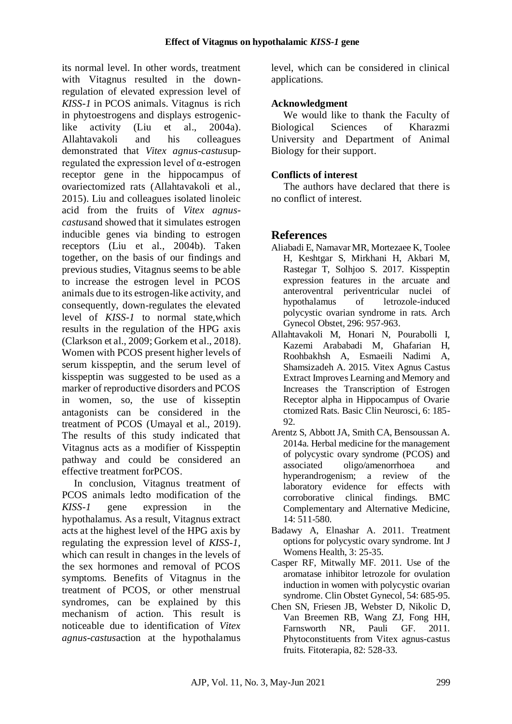its normal level. In other words, treatment with Vitagnus resulted in the downregulation of elevated expression level of *KISS-1* in PCOS animals. Vitagnus is rich in phytoestrogens and displays estrogeniclike activity (Liu et al., 2004a). Allahtavakoli and his colleagues demonstrated that *Vitex agnus-castus*upregulated the expression level of α-estrogen receptor gene in the hippocampus of ovariectomized rats (Allahtavakoli et al., 2015). Liu and colleagues isolated linoleic acid from the fruits of *Vitex agnuscastus*and showed that it simulates estrogen inducible genes via binding to estrogen receptors (Liu et al., 2004b). Taken together, on the basis of our findings and previous studies, Vitagnus seems to be able to increase the estrogen level in PCOS animals due to its estrogen-like activity, and consequently, down-regulates the elevated level of *KISS-1* to normal state,which results in the regulation of the HPG axis (Clarkson et al., 2009; Gorkem et al., 2018). Women with PCOS present higher levels of serum kisspeptin, and the serum level of kisspeptin was suggested to be used as a marker of reproductive disorders and PCOS in women, so, the use of kisseptin antagonists can be considered in the treatment of PCOS (Umayal et al., 2019). The results of this study indicated that Vitagnus acts as a modifier of Kisspeptin pathway and could be considered an effective treatment forPCOS.

In conclusion, Vitagnus treatment of PCOS animals ledto modification of the *KISS-1* gene expression in the hypothalamus. As a result, Vitagnus extract acts at the highest level of the HPG axis by regulating the expression level of *KISS-1*, which can result in changes in the levels of the sex hormones and removal of PCOS symptoms. Benefits of Vitagnus in the treatment of PCOS, or other menstrual syndromes, can be explained by this mechanism of action. This result is noticeable due to identification of *Vitex agnus-castus*action at the hypothalamus level, which can be considered in clinical applications.

## **Acknowledgment**

We would like to thank the Faculty of Biological Sciences of Kharazmi University and Department of Animal Biology for their support.

## **Conflicts of interest**

The authors have declared that there is no conflict of interest.

# **References**

- Aliabadi E, Namavar MR, Mortezaee K, Toolee H, Keshtgar S, Mirkhani H, Akbari M, Rastegar T, Solhjoo S. 2017. Kisspeptin expression features in the arcuate and anteroventral periventricular nuclei of hypothalamus of letrozole-induced polycystic ovarian syndrome in rats. Arch Gynecol Obstet, 296: 957-963.
- Allahtavakoli M, Honari N, Pourabolli I, Kazemi Arababadi M, Ghafarian H, Roohbakhsh A, Esmaeili Nadimi A, Shamsizadeh A. 2015. Vitex Agnus Castus Extract Improves Learning and Memory and Increases the Transcription of Estrogen Receptor alpha in Hippocampus of Ovarie ctomized Rats. Basic Clin Neurosci, 6: 185- 92.
- Arentz S, Abbott JA, Smith CA, Bensoussan A. 2014a. Herbal medicine for the management of polycystic ovary syndrome (PCOS) and associated oligo/amenorrhoea and hyperandrogenism; a review of the laboratory evidence for effects with corroborative clinical findings. BMC Complementary and Alternative Medicine, 14: 511-580.
- Badawy A, Elnashar A. 2011. Treatment options for polycystic ovary syndrome. Int J Womens Health, 3: 25-35.
- Casper RF, Mitwally MF. 2011. Use of the aromatase inhibitor letrozole for ovulation induction in women with polycystic ovarian syndrome. Clin Obstet Gynecol, 54: 685-95.
- Chen SN, Friesen JB, Webster D, Nikolic D, Van Breemen RB, Wang ZJ, Fong HH, Farnsworth NR, Pauli GF. 2011. Phytoconstituents from Vitex agnus-castus fruits. Fitoterapia, 82: 528-33.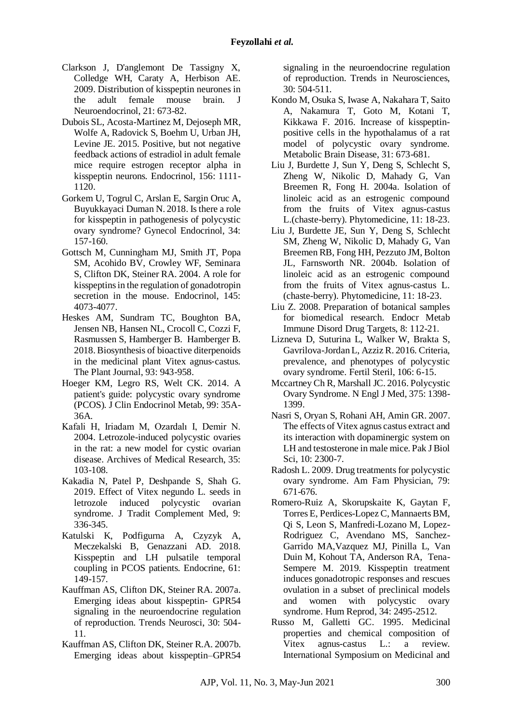- Clarkson J, D'anglemont De Tassigny X, Colledge WH, Caraty A, Herbison AE. 2009. Distribution of kisspeptin neurones in<br>the adult female mouse brain. J the adult female mouse brain. J Neuroendocrinol, 21: 673-82.
- Dubois SL, Acosta-Martinez M, Dejoseph MR, Wolfe A, Radovick S, Boehm U, Urban JH, Levine JE. 2015. Positive, but not negative feedback actions of estradiol in adult female mice require estrogen receptor alpha in kisspeptin neurons. Endocrinol, 156: 1111- 1120.
- Gorkem U, Togrul C, Arslan E, Sargin Oruc A, Buyukkayaci Duman N. 2018. Is there a role for kisspeptin in pathogenesis of polycystic ovary syndrome? Gynecol Endocrinol, 34: 157-160.
- Gottsch M, Cunningham MJ, Smith JT, Popa SM, Acohido BV, Crowley WF, Seminara S, Clifton DK, Steiner RA. 2004. A role for kisspeptins in the regulation of gonadotropin secretion in the mouse. Endocrinol, 145: 4073-4077.
- Heskes AM, Sundram TC, Boughton BA, Jensen NB, Hansen NL, Crocoll C, Cozzi F, Rasmussen S, Hamberger B. Hamberger B. 2018. Biosynthesis of bioactive diterpenoids in the medicinal plant Vitex agnus‐castus. The Plant Journal, 93: 943-958.
- Hoeger KM, Legro RS, Welt CK. 2014. A patient's guide: polycystic ovary syndrome (PCOS). J Clin Endocrinol Metab, 99: 35A-36A.
- Kafali H, Iriadam M, Ozardalı I, Demir N. 2004. Letrozole-induced polycystic ovaries in the rat: a new model for cystic ovarian disease. Archives of Medical Research, 35: 103-108.
- Kakadia N, Patel P, Deshpande S, Shah G. 2019. Effect of Vitex negundo L. seeds in letrozole induced polycystic ovarian syndrome. J Tradit Complement Med, 9: 336-345.
- Katulski K, Podfigurna A, Czyzyk A, Meczekalski B, Genazzani AD. 2018. Kisspeptin and LH pulsatile temporal coupling in PCOS patients. Endocrine, 61: 149-157.
- Kauffman AS, Clifton DK, Steiner RA. 2007a. Emerging ideas about kisspeptin- GPR54 signaling in the neuroendocrine regulation of reproduction. Trends Neurosci, 30: 504- 11.
- Kauffman AS, Clifton DK, Steiner R.A. 2007b. Emerging ideas about kisspeptin–GPR54

signaling in the neuroendocrine regulation of reproduction. Trends in Neurosciences, 30: 504-511.

- Kondo M, Osuka S, Iwase A, Nakahara T, Saito A, Nakamura T, Goto M, Kotani T, Kikkawa F. 2016. Increase of kisspeptinpositive cells in the hypothalamus of a rat model of polycystic ovary syndrome. Metabolic Brain Disease, 31: 673-681.
- Liu J, Burdette J, Sun Y, Deng S, Schlecht S, Zheng W, Nikolic D, Mahady G, Van Breemen R, Fong H. 2004a. Isolation of linoleic acid as an estrogenic compound from the fruits of Vitex agnus-castus L.(chaste-berry). Phytomedicine, 11: 18-23.
- Liu J, Burdette JE, Sun Y, Deng S, Schlecht SM, Zheng W, Nikolic D, Mahady G, Van Breemen RB, Fong HH, Pezzuto JM, Bolton JL, Farnsworth NR. 2004b. Isolation of linoleic acid as an estrogenic compound from the fruits of Vitex agnus-castus L. (chaste-berry). Phytomedicine, 11: 18-23.
- Liu Z. 2008. Preparation of botanical samples for biomedical research. Endocr Metab Immune Disord Drug Targets, 8: 112-21.
- Lizneva D, Suturina L, Walker W, Brakta S, Gavrilova-Jordan L, Azziz R. 2016. Criteria, prevalence, and phenotypes of polycystic ovary syndrome. Fertil Steril, 106: 6-15.
- Mccartney Ch R, Marshall JC. 2016. Polycystic Ovary Syndrome. N Engl J Med, 375: 1398- 1399.
- Nasri S, Oryan S, Rohani AH, Amin GR. 2007. The effects of Vitex agnus castus extract and its interaction with dopaminergic system on LH and testosterone in male mice. Pak J Biol Sci, 10: 2300-7.
- Radosh L. 2009. Drug treatments for polycystic ovary syndrome. Am Fam Physician, 79: 671-676.
- Romero-Ruiz A, Skorupskaite K, Gaytan F, Torres E, Perdices-Lopez C, Mannaerts BM, Qi S, Leon S, Manfredi-Lozano M, Lopez-Rodriguez C, Avendano MS, Sanchez-Garrido MA,Vazquez MJ, Pinilla L, Van Duin M, Kohout TA, Anderson RA, Tena-Sempere M. 2019. Kisspeptin treatment induces gonadotropic responses and rescues ovulation in a subset of preclinical models and women with polycystic ovary syndrome. Hum Reprod, 34: 2495-2512.
- Russo M, Galletti GC. 1995. Medicinal properties and chemical composition of Vitex agnus-castus L.: a review. International Symposium on Medicinal and